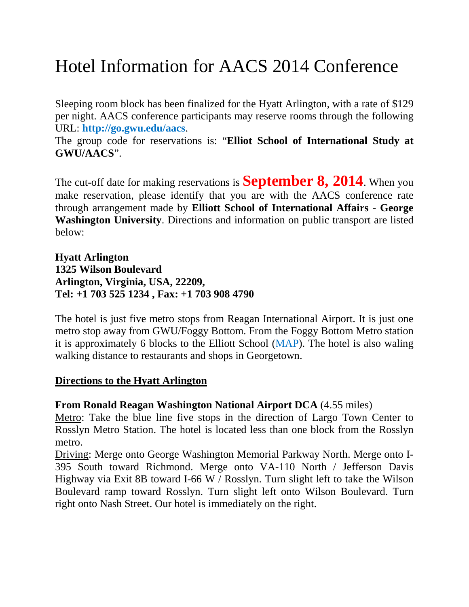# Hotel Information for AACS 2014 Conference

Sleeping room block has been finalized for the Hyatt Arlington, with a rate of \$129 per night. AACS conference participants may reserve rooms through the following URL: **http://go.gwu.edu/aacs**.

The group code for reservations is: "**Elliot School of International Study at GWU/AACS**".

The cut-off date for making reservations is **September 8, 2014**. When you make reservation, please identify that you are with the AACS conference rate through arrangement made by **Elliott School of International Affairs - George Washington University**. Directions and information on public transport are listed below:

**Hyatt Arlington 1325 Wilson Boulevard Arlington, Virginia, USA, 22209, Tel: +1 703 525 1234 , Fax: +1 703 908 4790**

The hotel is just five metro stops from Reagan International Airport. It is just one metro stop away from GWU/Foggy Bottom. From the Foggy Bottom Metro station it is approximately 6 blocks to the Elliott School (MAP). The hotel is also waling walking distance to restaurants and shops in Georgetown.

### **Directions to the Hyatt Arlington**

### **From Ronald Reagan Washington National Airport DCA** (4.55 miles)

Metro: Take the blue line five stops in the direction of Largo Town Center to Rosslyn Metro Station. The hotel is located less than one block from the Rosslyn metro.

Driving: Merge onto George Washington Memorial Parkway North. Merge onto I-395 South toward Richmond. Merge onto VA-110 North / Jefferson Davis Highway via Exit 8B toward I-66 W / Rosslyn. Turn slight left to take the Wilson Boulevard ramp toward Rosslyn. Turn slight left onto Wilson Boulevard. Turn right onto Nash Street. Our hotel is immediately on the right.